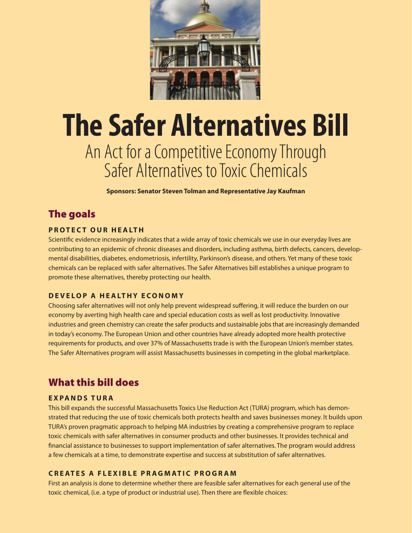

# **The Safer Alternatives Bill**  An Act for a Competitive Economy Through Safer Alternatives to Toxic Chemicals

**Sponsors: Senator Steven Tolman and Representative Jay Kaufman**

## The goals

#### **P r ot e c t O ur H e a lth**

Scientific evidence increasingly indicates that a wide array of toxic chemicals we use in our everyday lives are contributing to an epidemic of chronic diseases and disorders, including asthma, birth defects, cancers, developmental disabilities, diabetes, endometriosis, infertility, Parkinson's disease, and others. Yet many of these toxic chemicals can be replaced with safer alternatives. The Safer Alternatives bill establishes a unique program to promote these alternatives, thereby protecting our health.

#### **D e v e l o p a H e a lthy E c o n o m y**

Choosing safer alternatives will not only help prevent widespread suffering, it will reduce the burden on our economy by averting high health care and special education costs as well as lost productivity. Innovative industries and green chemistry can create the safer products and sustainable jobs that are increasingly demanded in today's economy. The European Union and other countries have already adopted more health protective requirements for products, and over 37% of Massachusetts trade is with the European Union's member states. The Safer Alternatives program will assist Massachusetts businesses in competing in the global marketplace.

### What this bill does

#### **E x pa nds TUR A**

This bill expands the successful Massachusetts Toxics Use Reduction Act (TURA) program, which has demonstrated that reducing the use of toxic chemicals both protects health and saves businesses money. It builds upon TURA's proven pragmatic approach to helping MA industries by creating a comprehensive program to replace toxic chemicals with safer alternatives in consumer products and other businesses. It provides technical and financial assistance to businesses to support implementation of safer alternatives. The program would address a few chemicals at a time, to demonstrate expertise and success at substitution of safer alternatives.

#### **Cr e at e s a F l e x i b l e P r a g m at i c P r o gr a m**

First an analysis is done to determine whether there are feasible safer alternatives for each general use of the toxic chemical, (i.e. a type of product or industrial use). Then there are flexible choices: